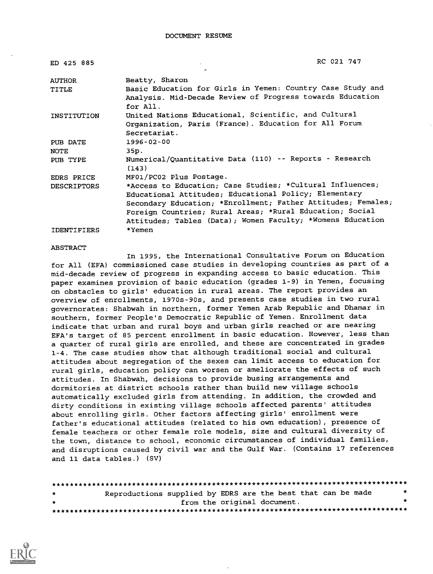| ED 425 885         | RC 021 747                                                            |  |
|--------------------|-----------------------------------------------------------------------|--|
| <b>AUTHOR</b>      | Beatty, Sharon                                                        |  |
| TITLE              | Basic Education for Girls in Yemen: Country Case Study and            |  |
|                    | Analysis. Mid-Decade Review of Progress towards Education<br>for All. |  |
| INSTITUTION        | United Nations Educational, Scientific, and Cultural                  |  |
|                    | Organization, Paris (France). Education for All Forum                 |  |
|                    | Secretariat.                                                          |  |
| PUB DATE           | 1996-02-00                                                            |  |
| NOTE               | 35p.                                                                  |  |
| PUB TYPE           | Numerical/Quantitative Data (110) -- Reports - Research<br>(143)      |  |
| EDRS PRICE         | MF01/PC02 Plus Postage.                                               |  |
| <b>DESCRIPTORS</b> | *Access to Education; Case Studies; *Cultural Influences;             |  |
|                    | Educational Attitudes; Educational Policy; Elementary                 |  |
|                    | Secondary Education; *Enrollment; Father Attitudes; Females;          |  |
|                    | Foreign Countries; Rural Areas; *Rural Education; Social              |  |
|                    | Attitudes; Tables (Data); Women Faculty; *Womens Education            |  |
| <b>IDENTIFIERS</b> | *Yemen                                                                |  |

#### ABSTRACT

In 1995, the International Consultative Forum on Education for All (EFA) commissioned case studies in developing countries as part of a mid-decade review of progress in expanding access to basic education. This paper examines provision of basic education (grades 1-9) in Yemen, focusing on obstacles to girls' education in rural areas. The report provides an overview of enrollments, 1970s-90s, and presents case studies in two rural governorates: Shabwah in northern, former Yemen Arab Republic and Dhamar in southern, former People's Democratic Republic of Yemen. Enrollment data indicate that urban and rural boys and urban girls reached or are nearing EFA's target of 85 percent enrollment in basic education. However, less than a quarter of rural girls are enrolled, and these are concentrated in grades 1-4. The case studies show that although traditional social and cultural attitudes about segregation of the sexes can limit access to education for rural girls, education policy can worsen or ameliorate the effects of such attitudes. In Shabwah, decisions to provide busing arrangements and dormitories at district schools rather than build new village schools automatically excluded girls from attending. In addition, the crowded and dirty conditions in existing village schools affected parents' attitudes about enrolling girls. Other factors affecting girls' enrollment were father's educational attitudes (related to his own education), presence of female teachers or other female role models, size and cultural diversity of the town, distance to school, economic circumstances of individual families, and disruptions caused by civil war and the Gulf War. (Contains 17 references and 11 data tables.) (SV)

| $\rightarrow$ | Reproductions supplied by EDRS are the best that can be made |  |                             |  |  |
|---------------|--------------------------------------------------------------|--|-----------------------------|--|--|
| $\rightarrow$ |                                                              |  | from the original document. |  |  |
|               |                                                              |  |                             |  |  |

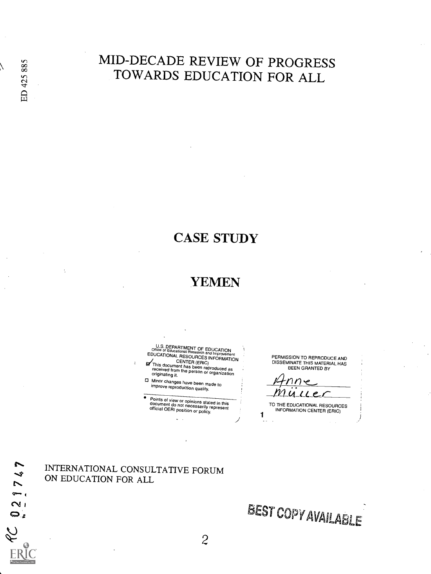oo  $\vec{\omega}$  .

## MID-DECADE REVIEW OF PROGRESS TOWARDS EDUCATION FOR ALL

## CASE STUDY

## YEMEN

U.S. DEPARTMENT OF EDUCATION<br>Office of Educational Research and Improvement<br>EDUCATIONAL RESOURCES INFORMATION **EDUCATIONAL RESOURCES INFORMATIONAL CENTER (ERIC)**<br>CENTER (ERIC) received from thas been reproduced as<br>received from the person or organization<br>originating it.

0 Minor changes have been made to improve reproduction quality.

Points of view or opinions stated in this document do not necessarily represent official OERI position or policy.

PERMISSION TO REPRODUCE AND DISSEMINATE THIS MATERIAL HAS BEEN GRANTED BY

тинес

TO THE EDUCATIONAL RESOURCES **INFORMATION CENTER (ERIC)** 

INTERNATIONAL CONSULTATIVE FORUM ON EDUCATION FOR ALL

BEST COPYAVAILABLE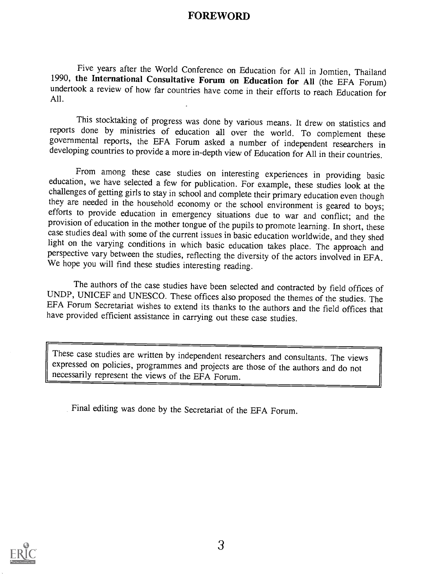### FOREWORD

Five years after the World Conference on Education for All in Jomtien, Thailand 1990, the International Consultative Forum on Education for All (the EFA Forum) undertook a review of how far countries have come in their eff

This stocktaking of progress was done by various means. It drew on statistics and reports done by ministries of education all over the world. To complement these governmental reports, the EFA Forum asked a number of independent researchers in developing countries to provide a more in-depth view of Education for All in their countries.

From among these case studies on interesting experiences in providing basic education, we have selected a few for publication. For example, these studies look at the challenges of getting girls to stay in school and complete their primary education even though they are needed in the household economy or the school environment is geared to boys;<br>efforts to provide education in emergency situations due to war and conflict; and the<br>provision of education in the mother tongue of the case studies deal with some of the current issues in basic education worldwide, and they shed light on the varying conditions in which basic education takes place. The approach and perspective vary between the studies, reflecting the diversity of the actors involved in EFA. We hope you will find these studies interesting reading.

The authors of the case studies have been selected and contracted by field offices of UNDP, UNICEF and UNESCO. These offices also proposed the themes of the studies. The EFA Forum Secretariat wishes to extend its thanks to have provided efficient assistance in carrying out these case studies.

These case studies are written by independent researchers and consultants. The views expressed on policies, programmes and projects are those of the authors and do not necessarily represent the views of the EFA Forum.

Final editing was done by the Secretariat of the EFA Forum.

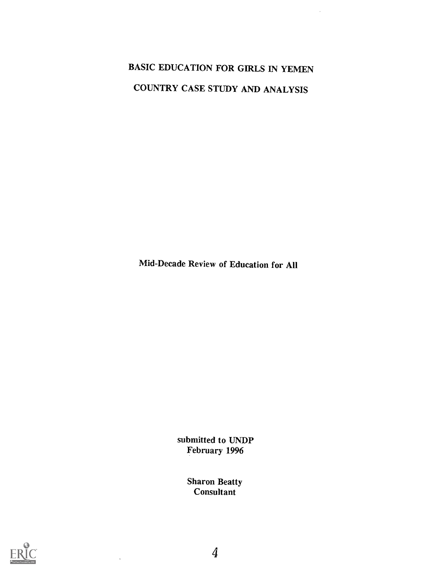# BASIC EDUCATION FOR GIRLS IN YEMEN COUNTRY CASE STUDY AND ANALYSIS

 $\bar{\beta}$ 

Mid-Decade Review of Education for All

submitted to UNDP February 1996

> Sharon Beatty Consultant



4

 $\ddot{\phantom{a}}$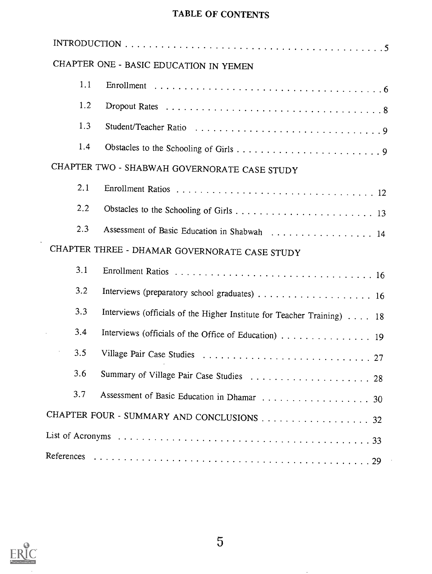## TABLE OF CONTENTS

|     | CHAPTER ONE - BASIC EDUCATION IN YEMEN                                 |
|-----|------------------------------------------------------------------------|
| 1.1 |                                                                        |
| 1.2 |                                                                        |
| 1.3 |                                                                        |
| 1.4 |                                                                        |
|     | CHAPTER TWO - SHABWAH GOVERNORATE CASE STUDY                           |
| 2.1 |                                                                        |
| 2.2 |                                                                        |
| 2.3 | Assessment of Basic Education in Shabwah 14                            |
|     | CHAPTER THREE - DHAMAR GOVERNORATE CASE STUDY                          |
| 3.1 |                                                                        |
| 3.2 |                                                                        |
| 3.3 | Interviews (officials of the Higher Institute for Teacher Training) 18 |
| 3.4 | Interviews (officials of the Office of Education) 19                   |
| 3.5 |                                                                        |
| 3.6 |                                                                        |
| 3.7 |                                                                        |
|     | CHAPTER FOUR - SUMMARY AND CONCLUSIONS 32                              |
|     |                                                                        |
|     |                                                                        |



 $\sim 10^{-1}$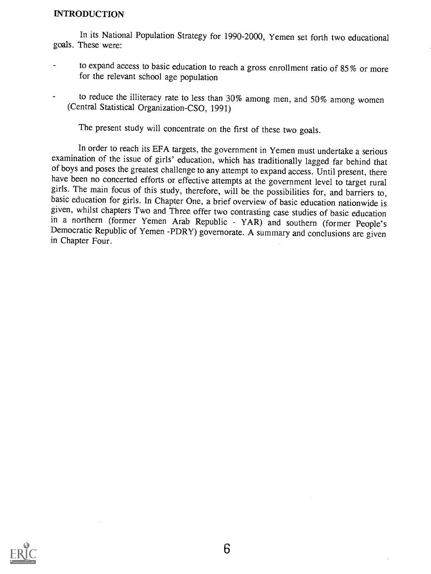#### INTRODUCTION

In its National Population Strategy for 1990-2000, Yemen set forth two educational goals. These were:

- to expand access to basic education to reach a gross enrollment ratio of 85% or more for the relevant school age population
- to reduce the illiteracy rate to less than 30% among men, and 50% among women (Central Statistical Organization-CSO, 1991)

The present study will concentrate on the first of these two goals.

In order to reach its EFA targets, the government in Yemen must undertake a serious examination of the issue of girls' education, which has traditionally lagged far behind that of boys and poses the greatest challenge to any attempt to expand access. Until present, there have been no concerted efforts or effective attempts at the government level to target rural girls. The main focus of this stud given, whilst chapters Two and Three offer two contrasting case studies of basic education<br>in a northern (former Yemen Arab Republic - YAR) and southern (former People's Democratic Republic of Yemen -PDRY) governorate. A summary and conclusions are given in Chapter Four.

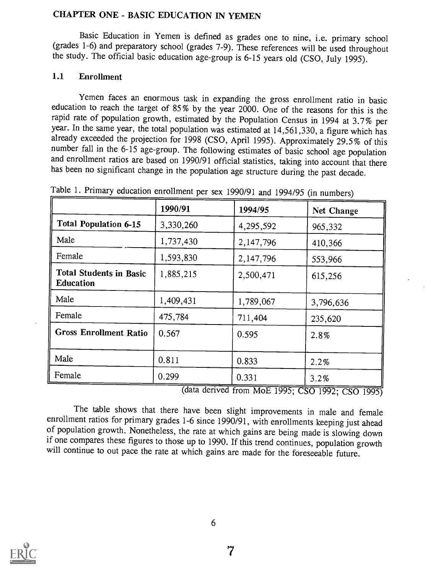#### CHAPTER ONE - BASIC EDUCATION IN YEMEN

Basic Education in Yemen is defined as grades one to nine, i.e. primary school (grades 1-6) and preparatory school (grades 7-9). These references will be used throughout the study. The official basic education age-group is 6-15 years old (CSO, July 1995).

#### 1.1 Enrollment

Yemen faces an enormous task in expanding the gross enrollment ratio in basic education to reach the target of 85% by the year 2000. One of the reasons for this is the rapid rate of population growth, estimated by the Population Census in 1994 at 3.7% per year. In the same year, the total population was estimated at 14,561,330, a figure which has already exceeded the projection for 1998 (CSO, April 1995). Approximately 29.5% of this number fall in the 6-15 age-group. The fo and enrollment ratios are based on 1990/91 official statistics, taking into account that there has been no significant change in the population age structure during the past decade.

|                                                    | 1990/91   | 1994/95   | <b>Net Change</b> |
|----------------------------------------------------|-----------|-----------|-------------------|
| <b>Total Population 6-15</b>                       | 3,330,260 | 4,295,592 | 965,332           |
| Male                                               | 1,737,430 | 2,147,796 | 410,366           |
| Female                                             | 1,593,830 | 2,147,796 | 553,966           |
| <b>Total Students in Basic</b><br><b>Education</b> | 1,885,215 | 2,500,471 | 615,256           |
| Male                                               | 1,409,431 | 1,789,067 | 3,796,636         |
| Female                                             | 475,784   | 711,404   | 235,620           |
| <b>Gross Enrollment Ratio</b>                      | 0.567     | 0.595     | 2.8%              |
| Male                                               | 0.811     | 0.833     | 2.2%              |
| Female                                             | 0.299     | 0.331     | 3.2%              |

Table 1. Primary education enrollment per sex 1990/91 and 1994/95 (in numbers)

(data derived from MoE 1995; CSO 1992; CSO 1995)

The table shows that there have been slight improvements in male and female enrollment ratios for primary grades 1-6 since 1990/91, with enrollments keeping just ahead of population growth. Nonetheless, the rate at which gains are being made is slowing down if one compares these figures to those up to 1990. If this trend continues, population growth will continue to out pace the rate at which gains are made for the foreseeable future.

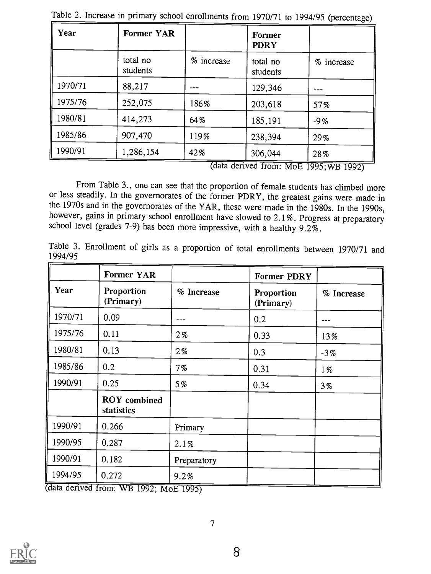| Year    | <b>Former YAR</b>    |            | Former<br><b>PDRY</b> |            |
|---------|----------------------|------------|-----------------------|------------|
|         | total no<br>students | % increase | total no<br>students  | % increase |
| 1970/71 | 88,217               |            | 129,346               |            |
| 1975/76 | 252,075              | 186%       | 203,618               | 57%        |
| 1980/81 | 414,273              | 64%        | 185,191               | $-9%$      |
| 1985/86 | 907,470              | 119%       | 238,394               | 29%        |
| 1990/91 | 1,286,154            | 42%        | 306,044               | 28%        |

Table 2. Increase in primary school enrollments from 1970/71 to 1994/95 (percentage)

(data derived from: MoE 1995;WB 1992)

From Table 3., one can see that the proportion of female students has climbed more or less steadily. In the governorates of the former PDRY, the greatest gains were made in the 1970s and in the governorates of the YAR, these were made in the 1980s. In the 1990s, however, gains in primary school enrollment have slowed to 2.1%. Progress at preparatory school level (grades 7-9) has been more impressive, with a healthy  $9.2\%$ .

Table 3. Enrollment of girls as a proportion of total enrollments between 1970/71 and 1994/95

|         | <b>Former YAR</b>                 |             | <b>Former PDRY</b>      |            |
|---------|-----------------------------------|-------------|-------------------------|------------|
| Year    | Proportion<br>(Primary)           | % Increase  | Proportion<br>(Primary) | % Increase |
| 1970/71 | 0.09                              |             | 0.2                     |            |
| 1975/76 | 0.11                              | $2\%$       | 0.33                    | 13%        |
| 1980/81 | 0.13                              | 2%          | 0.3                     | $-3\%$     |
| 1985/86 | 0.2                               | 7%          | 0.31                    | $1\%$      |
| 1990/91 | 0.25                              | 5%          | 0.34                    | $3\%$      |
|         | <b>ROY</b> combined<br>statistics |             |                         |            |
| 1990/91 | 0.266                             | Primary     |                         |            |
| 1990/95 | 0.287                             | 2.1%        |                         |            |
| 1990/91 | 0.182                             | Preparatory |                         |            |
| 1994/95 | 0.272                             | 9.2%        |                         |            |

1992; MOE 1995)

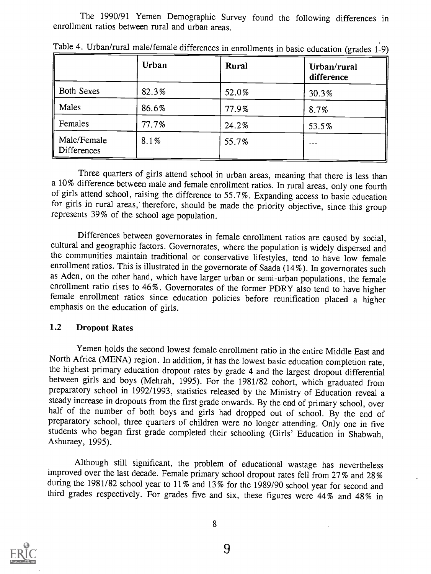The 1990/91 Yemen Demographic Survey found the following differences in enrollment ratios between rural and urban areas.

|                            | Urban | Rural | Urban/rural<br>difference |
|----------------------------|-------|-------|---------------------------|
| <b>Both Sexes</b>          | 82.3% | 52.0% | 30.3%                     |
| Males                      | 86.6% | 77.9% | 8.7%                      |
| Females                    | 77.7% | 24.2% | 53.5%                     |
| Male/Female<br>Differences | 8.1%  | 55.7% |                           |

Table 4. Urban/rural male/female differences in enrollments in basic education (grades 1-9)

Three quarters of girls attend school in urban areas, meaning that there is less than a 10% difference between male and female enrollment ratios. In rural areas, only one fourth of girls attend school, raising the difference to 55.7%. Expanding access to basic education for girls in rural areas, therefore, should be made the priority objective, since this group represents 39% of the school age population.

Differences between governorates in female enrollment ratios are caused by social, cultural and geographic factors. Governorates, where the population is widely dispersed and the communities maintain traditional or conservative lifestyles, tend to have low female enrollment ratios. This is illustrated in the governorate of Saada (14%). In governorates such as Aden, on the other hand, which have larger urban or semi-urban populations, the female enrollment ratio rises to 46%. Governorates of the former PDRY also tend to have higher female enrollment ratios since education policies before reunification placed a higher emphasis on the education of girls.

#### 1.2 Dropout Rates

Yemen holds the second lowest female enrollment ratio in the entire Middle East and<br>North Africa (MENA) region. In addition, it has the lowest basic education completion rate, the highest primary education dropout rates by grade 4 and the largest dropout differential between girls and boys (Mehrah, 1995). For the 1981/82 cohort, which graduated from preparatory school in 1992/1993, statistics released by the Ministry of Education reveal a steady increase in dropouts from the first grade onwards. By the end of primary school, over half of the number of both boys and girls had dropped out of school. By the end of preparatory school, three quarters of children were no longer attending. Only one in five students who began first grade completed their schooling (Girls' Education in Shabwah, Ashuraey, 1995).

Although still significant, the problem of educational wastage has nevertheless improved over the last decade. Female primary school dropout rates fell from 27% and 28% during the 1981/82 school year to 11% and 13% for the 1989/90 school year for second and third grades respectively. For grades five and six, these figures were 44% and 48% in

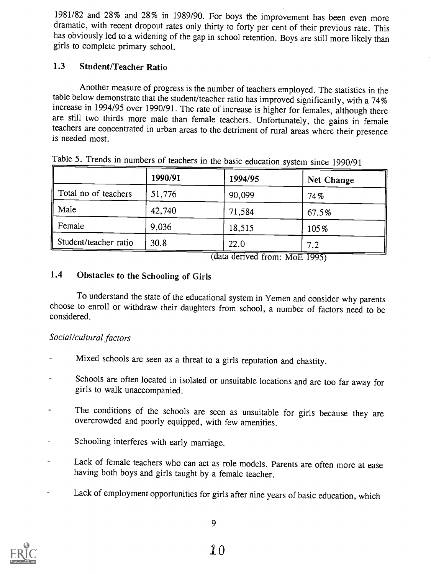1981/82 and 28% and 28% in 1989/90. For boys the improvement has been even more dramatic, with recent dropout rates only thirty to forty per cent of their previous rate. This has obviously led to a widening of the gap in school retention. Boys are still more likely than girls to complete primary school.

#### 1.3 Student/Teacher Ratio

Another measure of progress is the number of teachers employed. The statistics in the table below demonstrate that the student/teacher ratio has improved significantly, with a 74% increase in 1994/95 over 1990/91. The rate of increase is higher for females, although there are still two thirds more male than female teachers. Unfortunately, the gains in female teachers are concentrated in urban areas to the detriment of rural areas where their presence is needed most.

|                       | 1990/91 | 1994/95 | <b>Net Change</b> |
|-----------------------|---------|---------|-------------------|
| Total no of teachers  | 51,776  | 90,099  | 74%               |
| Male                  | 42,740  | 71,584  | 67.5%             |
| Female                | 9,036   | 18,515  | 105%              |
| Student/teacher ratio | 30.8    | 22.0    | 7.2               |

Table 5. Trends in numbers of teachers in the basic education system since 1990/91

(data derived from: MoE 1995)

### 1.4 Obstacles to the Schooling of Girls

To understand the state of the educational system in Yemen and consider why parents choose to enroll or withdraw their daughters from school, a number of factors need to be considered.

#### Social/cultural factors

- Mixed schools are seen as a threat to a girls reputation and chastity.
- Schools are often located in isolated or unsuitable locations and are too far away for girls to walk unaccompanied.
- The conditions of the schools are seen as unsuitable for girls because they are overcrowded and poorly equipped, with few amenities.
- Schooling interferes with early marriage.
- Lack of female teachers who can act as role models. Parents are often more at ease having both boys and girls taught by a female teacher.
- Lack of employment opportunities for girls after nine years of basic education, which



9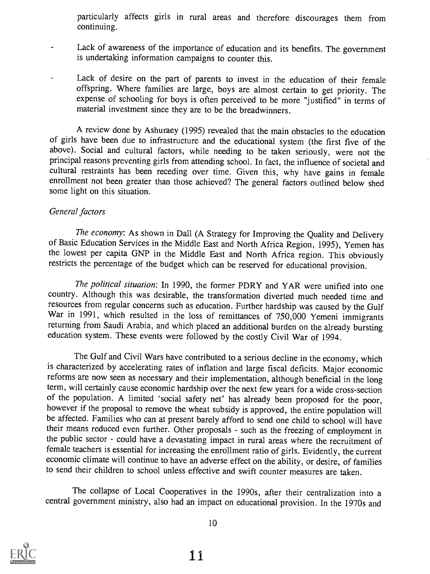particularly affects girls in rural areas and therefore discourages them from continuing.

- Lack of awareness of the importance of education and its benefits. The government is undertaking information campaigns to counter this.
- Lack of desire on the part of parents to invest in the education of their female offspring. Where families are large, boys are almost certain to get priority. The expense of schooling for boys is often perceived to be more "justified" in terms of material investment since they are to be the breadwinners.

A review done by Ashuraey (1995) revealed that the main obstacles to the education of girls have been due to infrastructure and the educational system (the first five of the above). Social and cultural factors, while needing to be taken seriously, were not the principal reasons preventing girls from attending school. In fact, the influence of societal and cultural restraints has been receding over time. Given this, why have gains in female enrollment not been greater than those achieved? The general factors outlined below shed some light on this situation.

#### General factors

The economy: As shown in Dall (A Strategy for Improving the Quality and Delivery of Basic Education Services in the Middle East and North Africa Region, 1995), Yemen has the lowest per capita GNP in the Middle East and North Africa region. This obviously restricts the percentage of the budget which can be reserved for educational provision.

The political situation: In 1990, the former PDRY and YAR were unified into one country. Although this was desirable, the transformation diverted much needed time and resources from regular concerns such as education. Further hardship was caused by the Gulf War in 1991, which resulted in the loss of remittances of 750,000 Yemeni immigrants returning from Saudi Arabia, and which placed an additional burden on the already bursting education system. These events were followed by the costly Civil War of 1994.

The Gulf and Civil Wars have contributed to a serious decline in the economy, which is characterized by accelerating rates of inflation and large fiscal deficits. Major economic reforms are now seen as necessary and their implementation, although beneficial in the long term, will certainly cause economic hardship over the next few years for a wide cross-section of the population. A limited 'social safety net' has already been proposed for the poor, be affected. Families who can at present barely afford to send one child to school will have their means reduced even further. Other proposals - such as the freezing of employment in the public sector - could have a devastating impact in rural areas where the recruitment of female teachers is essential for increasing the enrollment ratio of girls. Evidently, the current economic climate will continue to have an adverse effect on the ability, or desire, of families to send their children to school unless effective and swift counter measures are taken.

The collapse of Local Cooperatives in the 1990s, after their centralization into a central government ministry, also had an impact on educational provision. In the 1970s and



 $10$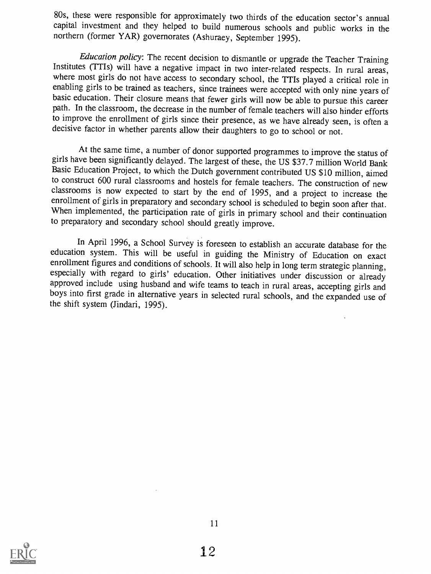80s, these were responsible for approximately two thirds of the education sector's annual capital investment and they helped to build numerous schools and public works in the northern (former YAR) governorates (Ashuraey, September 1995).

Education policy: The recent decision to dismantle or upgrade the Teacher Training Institutes (TTIs) will have a negative impact in two inter-related respects. In rural areas, where most girls do not have access to secondary school, the TTIs played a critical role in enabling girls to be trained as teachers, since trainees were accepted with only nine years of basic education. Their closure means that fewer girls will now be able to pursue this career path. In the classroom, the decrease in the number of female teachers will also hinder efforts to improve the enrollment of girls since their presence, as we have already seen, is often a decisive factor in whether parents allow their daughters to go to school or not.

At the same time, a number of donor supported programmes to improve the status of girls have been significantly delayed. The largest of these, the US \$37.7 million World Bank Basic Education Project, to which the Dutch government contributed US \$10 million, aimed to construct 600 rural classrooms and hostels for female teachers. The construction of new classrooms is now expected to start by the end of 1995, and a project to increase the enrollment of girls in preparatory and secondary school is scheduled to begin soon after that. When implemented, the participation rate of girls in primary school and their continuation to preparatory and secondary school should greatly improve.

In April 1996, a School Survey is foreseen to establish an accurate database for the education system. This will be useful in guiding the Ministry of Education on exact enrollment figures and conditions of schools. It will also help in long term strategic planning, especially with regard to girls' education. Other initiatives under discussion or already approved include using husband and wife teams to teach in rural areas, accepting girls and boys into first grade in alternative years in selected rural schools, and the expanded use of the shift system (Iindari, 1995).

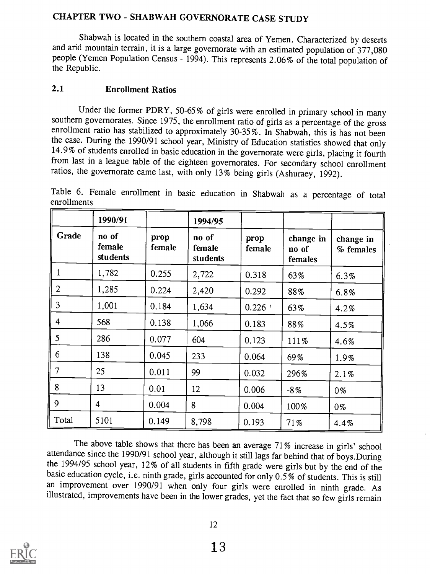## CHAPTER TWO - SHABWAH GOVERNORATE CASE STUDY

Shabwah is located in the southern coastal area of Yemen. Characterized by deserts and arid mountain terrain, it is a large governorate with an estimated population of 377,080 people (Yemen Population Census - 1994). This represents 2.06% of the total population of the Republic.

#### 2.1 Enrollment Ratios

Under the former PDRY, 50-65% of girls were enrolled in primary school in many southern governorates. Since 1975, the enrollment ratio of girls as a percentage of the gross enrollment ratio has stabilized to approximately 30-35%. In Shabwah, this is has not been the case. During the 1990/91 school year, Ministry of Education statistics showed that only 14.9% of students enrolled in basic education in the governorate were girls, placing it fourth from last in a league table of the eighteen governorates. For secondary school enrollment ratios, the governorate came last, with only 13% being girls (Ashuraey, 1992).

Table 6. Female enrollment in basic education in Shabwah as a percentage of total enrollments

|                | 1990/91                     |                | 1994/95                     |                |                               |                        |
|----------------|-----------------------------|----------------|-----------------------------|----------------|-------------------------------|------------------------|
| Grade          | no of<br>female<br>students | prop<br>female | no of<br>female<br>students | prop<br>female | change in<br>no of<br>females | change in<br>% females |
| $\mathbf{1}$   | 1,782                       | 0.255          | 2,722                       | 0.318          | 63%                           | 6.3%                   |
| $\overline{2}$ | 1,285                       | 0.224          | 2,420                       | 0.292          | 88%                           | 6.8%                   |
| $\overline{3}$ | 1,001                       | 0.184          | 1,634                       | 0.226          | 63%                           | 4.2%                   |
| 4              | 568                         | 0.138          | 1,066                       | 0.183          | 88%                           | 4.5%                   |
| 5              | 286                         | 0.077          | 604                         | 0.123          | 111%                          | 4.6%                   |
| 6              | 138                         | 0.045          | 233                         | 0.064          | 69%                           | 1.9%                   |
| 7              | 25                          | 0.011          | 99                          | 0.032          | 296%                          | 2.1%                   |
| 8              | 13                          | 0.01           | 12                          | 0.006          | $-8\%$                        | 0%                     |
| 9              | $\overline{4}$              | 0.004          | 8                           | 0.004          | 100%                          | $0\%$                  |
| Total          | 5101                        | 0.149          | 8,798                       | 0.193          | 71%                           | 4.4%                   |

The above table shows that there has been an average 71% increase in girls' school attendance since the 1990/91 school year, although it still lags far behind that of boys.During the 1994/95 school year, 12% of all student basic education cycle, i.e. ninth grade, girls accounted for only 0.5% of students. This is still an improvement over 1990/91 when only four girls were enrolled in ninth grade. As illustrated, improvements have been in the lower grades, yet the fact that so few girls remain

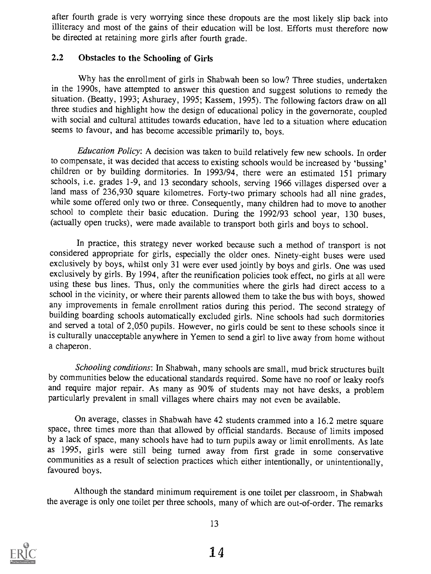after fourth grade is very worrying since these dropouts are the most likely slip back into illiteracy and most of the gains of their education will be lost. Efforts must therefore now be directed at retaining more girls after fourth grade.

#### 2.2 Obstacles to the Schooling of Girls

Why has the enrollment of girls in Shabwah been so low? Three studies, undertaken in the 1990s, have attempted to answer this question and suggest solutions to remedy the situation. (Beatty, 1993; Ashuraey, 1995; Kassem, 1995). The following factors draw on all three studies and highlight how the design of educational policy in the governorate, coupled with social and cultural attitudes towards education, have led to a situation where education seems to favour, and has become accessible primarily to, boys.

Education Policy: A decision was taken to build relatively few new schools. In order to compensate, it was decided that access to existing schools would be increased by 'bussing' children or by building dormitories. In 1993/94, there were an estimated 151 primary schools, i.e. grades 1-9, and 13 secondary schools, serving 1966 villages dispersed over a land mass of 236,930 square kilometres. Forty-two primary schools had all nine grades, while some offered only two or three. Consequently, many children had to move to another school to complete their basic education. During the 1992/93 school year, 130 buses, (actually open trucks), were made available to transport both girls and boys to school.

In practice, this strategy never worked because such a method of transport is not considered appropriate for girls, especially the older ones. Ninety-eight buses were used exclusively by boys, whilst only 31 were ever used jointly by boys and girls. One was used exclusively by girls. By 1994, after the reunification policies took effect, no girls at all were using these bus lines. Thus, only the communities where the girls had direct access to a school in the vicinity, or where their parents allowed them to take the bus with boys, showed any improvements in female enrollment ratios during this period. The second strategy of building boarding schools automatically excluded girls. Nine schools had such dormitories and served a total of 2,050 pupils. However, no girls could be sent to these schools since it is culturally unacceptable anywhere in Yemen to send a girl to live away from home without a chaperon.

Schooling conditions: In Shabwah, many schools are small, mud brick structures built<br>by communities below the educational standards required. Some have no roof or leaky roofs and require major repair. As many as 90% of students may not have desks, a problem particularly prevalent in small villages where chairs may not even be available.

On average, classes in Shabwah have 42 students crammed into a 16.2 metre square space, three times more than that allowed by official standards. Because of limits imposed by a lack of space, many schools have had to turn pupils away or limit enrollments. As late as 1995, girls were still being turned away from first grade in some conservative communities as a result of selection practices which either intentionally, or unintentionally, favoured boys.

Although the standard minimum requirement is one toilet per classroom, in Shabwah the average is only one toilet per three schools, many of which are out-of-order. The remarks



13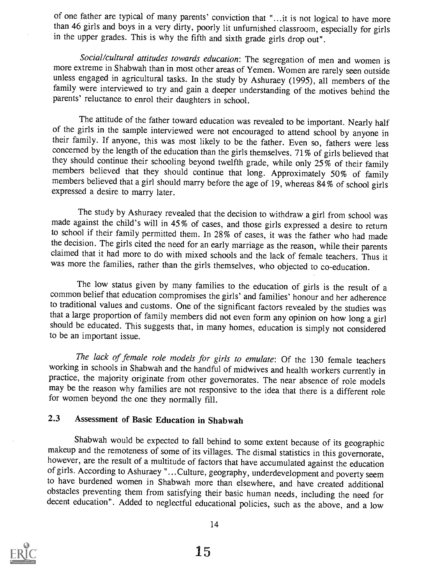of one father are typical of many parents' conviction that "...it is not logical to have more than 46 girls and boys in a very dirty, poorly lit unfurnished classroom, especially for girls in the upper grades. This is why the fifth and sixth grade girls drop out".

Social/cultural attitudes towards education: The segregation of men and women is more extreme in Shabwah than in most other areas of Yemen. Women are rarely seen outside unless engaged in agricultural tasks. In the study by Ashuraey (1995), all members of the family were interviewed to try and gain a deeper understanding of the motives behind the parents' reluctance to enrol their daughters in school.

The attitude of the father toward education was revealed to be important. Nearly half of the girls in the sample interviewed were not encouraged to attend school by anyone in their family. If anyone, this was most likely to be the father. Even so, fathers were less concerned by the length of the education than the girls themselves. 71% of girls believed that they should continue their schooling beyond twelfth grade, while only  $25\%$  of their family members believed that they should continue that long. Approximately 50% of family members believed that a girl should marry befo

The study by Ashuraey revealed that the decision to withdraw a girl from school was made against the child's will in 45% of cases, and those girls expressed a desire to return to school if their family permitted them. In 28% of cases, it was the father who had made the decision. The girls cited the need for an early marriage as the reason, while their parents claimed that it had more to do with mixed schools and the lack of female teachers. Thus it was more the families, rather than the girls themselves, who objected to co-education.

The low status given by many families to the education of girls is the result of a common belief that education compromises the girls' and families' honour and her adherence to traditional values and customs. One of the significant factors revealed by the studies was that a large proportion of family members did not even form any opinion on how long a girl should be educated. This suggests that, in many homes, education is simply not considered to be an important issue.

The lack of female role models for girls to emulate: Of the 130 female teachers working in schools in Shabwah and the handful of midwives and health workers currently in may be the reason why families are not responsive to the idea that there is a different role for women beyond the one they normally fill.

## 2.3 Assessment of Basic Education in Shabwah

Shabwah would be expected to fall behind to some extent because of its geographic makeup and the remoteness of some of its villages. The dismal statistics in this governorate, however, are the result of a multitude of fact of girls. According to Ashuraey "...Culture, geography, underdevelopment and poverty seem to have burdened women in Shabwah more than elsewhere, and have created additional decent education". Added to neglectful educational policies, such as the above, and a low

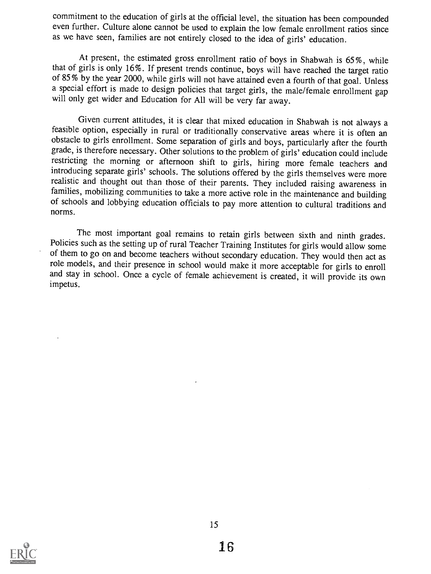commitment to the education of girls at the official level, the situation has been compounded even further. Culture alone cannot be used to explain the low female enrollment ratios since as we have seen, families are not entirely closed to the idea of girls' education.

At present, the estimated gross enrollment ratio of boys in Shabwah is 65%, while that of girls is only 16%. If present trends continue, boys will have reached the target ratio of 85% by the year 2000, while girls will not have attained even a fourth of that goal. Unless a special effort is made to design policies that target girls, the male/female enrollment gap will only get wider and Education for All will be very far away.

Given current attitudes, it is clear that mixed education in Shabwah is not always a feasible option, especially in rural or traditionally conservative areas where it is often an obstacle to girls enrollment. Some separation of girls and boys, particularly after the fourth grade, is therefore necessary. Other solutions to the problem of girls' education could include restricting the morning or afternoon shift to girls, hiring more female teachers and introducing separate girls' schools. The solutions offered by the girls themselves were more realistic and thought out than those of their parents. They included raising awareness in families, mobilizing communities to take a more active role in the maintenance and building of schools and lobbying education officials to pay more attention to cultural traditions and norms.

The most important goal remains to retain girls between sixth and ninth grades.<br>Policies such as the setting up of rural Teacher Training Institutes for girls would allow some of them to go on and become teachers without secondary education. They would then act as role models, and their presence in school would make it more acceptable for girls to enroll and stay in school. Once a cycle of female achievement is created, it will provide its own impetus.

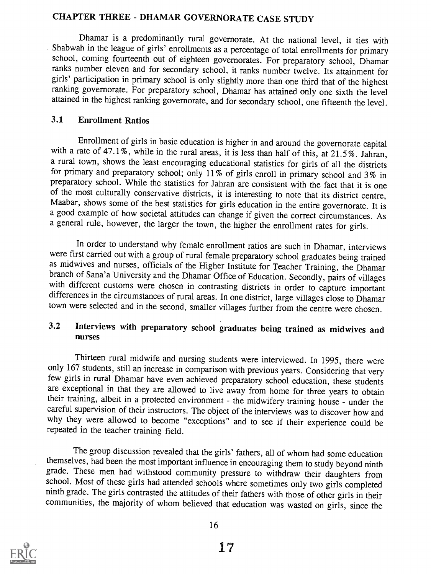## CHAPTER THREE - DHAMAR GOVERNORATE CASE STUDY

Dhamar is a predominantly rural governorate. At the national level, it ties with Shabwah in the league of girls' enrollments as a percentage of total enrollments for primary school, coming fourteenth out of eighteen governorates. For preparatory school, Dhamar ranks number eleven and for secondary school, it ranks number twelve. Its attainment for girls' participation in primary school is only slightly more than one third that of the highest ranking governorate. For preparatory school, Dhamar has attained only one sixth the level attained in the highest ranking governorate, and for secondary school, one fifteenth the level.

#### 3.1 Enrollment Ratios

Enrollment of girls in basic education is higher in and around the governorate capital with a rate of 47.1%, while in the rural areas, it is less than half of this, at 21.5 %. Jahran, a rural town, shows the least encouraging educational statistics for girls of all the districts for primary and preparatory school; only 11% of girls enroll in primary school and 3% in preparatory school. While the statistics for Jahran are consistent with the fact that it is one of the most culturally conservative districts, it is interesting to note that its district centre, Maabar, shows some of the best statistics for girls education in the entire governorate. It is a good example of how societal attitudes can change if given the correct circumstances. As a general rule, however, the larger the town, the higher the enrollment rates for girls.

In order to understand why female enrollment ratios are such in Dhamar, interviews were first carried out with a group of rural female preparatory school graduates being trained as midwives and nurses, officials of the Higher Institute for Teacher Training, the Dhamar branch of Sana'a University and the Dhamar Office of Education. Secondly, pairs of villages with different customs were chosen in contrasting districts in order to capture important differences in the circumstances of rural areas. In one district, large villages close to Dhamar town were selected and in the second, smaller villages further from the centre were chosen.

#### 3.2 Interviews with preparatory school graduates being trained as midwives and nurses

Thirteen rural midwife and nursing students were interviewed. In 1995, there were only 167 students, still an increase in comparison with previous years. Considering that very few girls in rural Dhamar have even achieved preparatory school education, these students are exceptional in that they are allowed to live away from home for three years to obtain their training, albeit in a protected environment - the midwifery training house - under the careful supervision of their instructors. The object of the interviews was to discover how and why they were allowed to become "exceptions" and to see if their experience could be repeated in the teacher training field.

The group discussion revealed that the girls' fathers, all of whom had some education themselves, had been the most important influence in encouraging them to study beyond ninth grade. These men had withstood community pressure to withdraw their daughters from school. Most of these girls had attended schools where sometimes only two girls completed ninth grade. The girls contrasted the attitudes of their fathers with those of other girls in their communities, the majority of whom believed that education was wasted on girls, since the

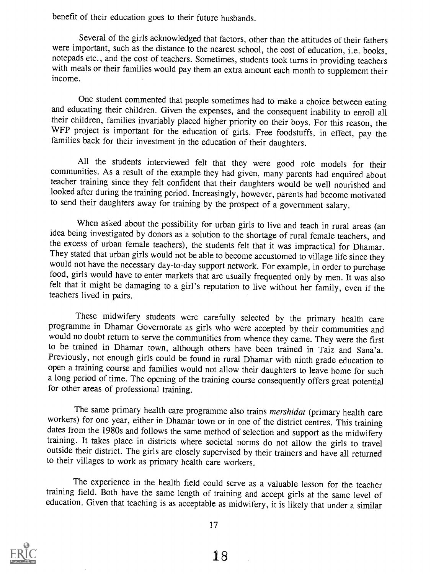benefit of their education goes to their future husbands.

Several of the girls acknowledged that factors, other than the attitudes of their fathers were important, such as the distance to the nearest school, the cost of education, i.e. books, notepads etc., and the cost of teachers. Sometimes, students took turns in providing teachers with meals or their families would pay them an extra amount each month to supplement their income.

One student commented that people sometimes had to make a choice between eating and educating their children. Given the expenses, and the consequent inability to enroll all their children, families invariably placed higher priority on their boys. For this reason, the WFP project is important for the education of girls. Free foodstuffs, in effect, pay the families back for their investment in the education of their daughters.

All the students interviewed felt that they were good role models for their communities. As a result of the example they had given, many parents had enquired about teacher training since they felt confident that their daug looked after during the training period. Increasingly, however, parents had become motivated to send their daughters away for training by the prospect of a government salary.

When asked about the possibility for urban girls to live and teach in rural areas (an idea being investigated by donors as a solution to the shortage of rural female teachers, and the excess of urban female teachers), the students felt that it was impractical for Dhamar. They stated that urban girls would not be able to become accustomed to village life since they would not have the necessary day-to-day support network. For example, in order to purchase food, girls would have to enter markets that are usually frequented only by men. It was also felt that it might be damaging to a girl's reputation to live without her family, even if the teachers lived in pairs.

These midwifery students were carefully selected by the primary health care programme in Dhamar Governorate as girls who were accepted by their communities and would no doubt return to serve the communities from whence they came. They were the first to be trained in Dhamar town, although others have been trained in Taiz and Sana'a. Previously, not enough girls could be found in rural Dhamar with ninth grade education to open a training course and families would not allow their daughters to leave home for such a long period of time. The opening of the training course consequently offers great potential for other areas of professional training.

The same primary health care programme also trains *mershidat* (primary health care workers) for one year, either in Dhamar town or in one of the district centres. This training dates from the 1980s and follows the same method of selection and support as the midwifery training. It takes place in districts where societal norms do not allow the girls to travel outside their district. The girls are closely supervised by their trainers and have all returned to their villages to work as primary health care workers.

The experience in the health field could serve as a valuable lesson for the teacher training field. Both have the same length of training and accept girls at the same level of education. Given that teaching is as acceptable as midwifery, it is likely that under a similar



17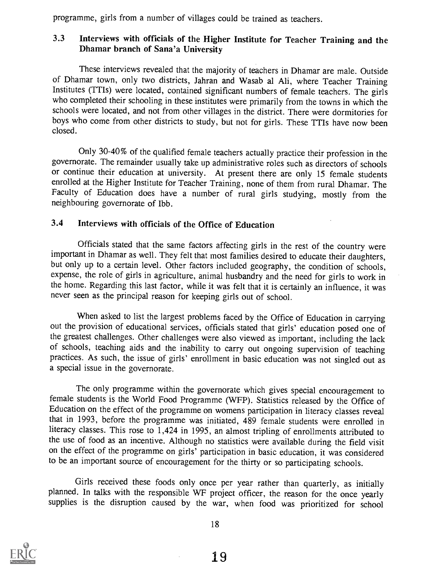programme, girls from a number of villages could be trained as teachers.

### 3.3 Interviews with officials of the Higher Institute for Teacher Training and the Dhamar branch of Sana'a University

These interviews revealed that the majority of teachers in Dhamar are male. Outside of Dhamar town, only two districts, Jahran and Wasab al Ali, where Teacher Training Institutes (TTIs) were located, contained significant numbers of female teachers. The girls who completed their schooling in these institutes were primarily from the towns in which the schools were located, and not from other villages in the district. There were dormitories for boys who come from other districts to study, but not for girls. These TTIs have now been closed.

Only 30-40% of the qualified female teachers actually practice their profession in the governorate. The remainder usually take up administrative roles such as directors of schools or continue their education at university. At present there are only 15 female students enrolled at the Higher Institute for Teacher Training, none of them from rural Dhamar. The Faculty of Education does have a number of rural girls studying, mostly from the neighbouring governorate of Ibb.

#### 3.4 Interviews with officials of the Office of Education

Officials stated that the same factors affecting girls in the rest of the country were important in Dhamar as well. They felt that most families desired to educate their daughters, but only up to a certain level. Other factors included geography, the condition of schools, expense, the role of girls in agriculture, animal husbandry and the need for girls to work in the home. Regarding this last factor, while it was felt that it is certainly an influence, it was never seen as the principal reason for keeping girls out of school.

When asked to list the largest problems faced by the Office of Education in carrying out the provision of educational services, officials stated that girls' education posed one of the greatest challenges. Other challenges were also viewed as important, including the lack of schools, teaching aids and the inability to carry out ongoing supervision of teaching practices. As such, the issue of girls' enrollment in basic education was not singled out as a special issue in the governorate.

The only programme within the governorate which gives special encouragement to female students is the World Food Programme (WFP). Statistics released by the Office of Education on the effect of the programme on womens participation in literacy classes reveal<br>that in 1993, before the programme was initiated, 489 female students were enrolled in literacy classes. This rose to 1,424 in 1995, an almost tripling of enrollments attributed to the use of food as an incentive. Although no statistics were available during the field visit on the effect of the programme on girls' participation in basic education, it was considered to be an important source of encouragement for the thirty or so participating schools.

Girls received these foods only once per year rather than quarterly, as initially planned. In talks with the responsible WF project officer, the reason for the once yearly supplies is the disruption caused by the war, when food was prioritized for school



18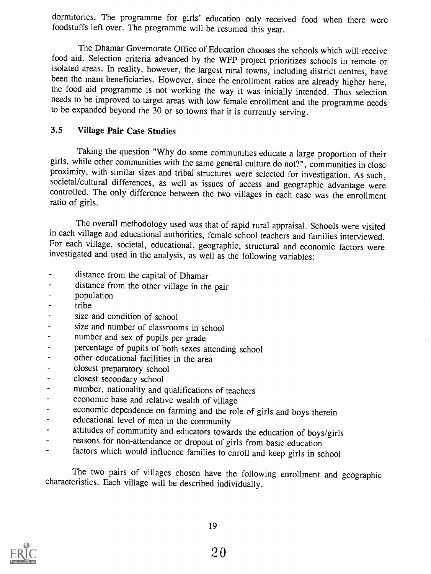dormitories. The programme for girls' education only received food when there were foodstuffs left over. The programme will be resumed this year.

The Dhamar Governorate Office of Education chooses the schools which will receive food aid. Selection criteria advanced by the WFP project prioritizes schools in remote or been the main beneficiaries. However, since the enrollment ratios are already higher here, the food aid programme is not working the way it was initially intended. Thus selection needs to be improved to target areas with low female enrollment and the programme needs to be expanded beyond the 30 or so towns that it is currently serving.

#### 3.5 Village Pair Case Studies

Taking the question "Why do some communities educate a large proportion of their girls, while other communities with the same general culture do not?", communities in close proximity, with similar sizes and tribal structures were selected for investigation. As such, societal/cultural differences, as well as issues of access and geographic advantage were controlled. The only difference between the two villages in each case was the enrollment ratio of girls.

The overall methodology used was that of rapid rural appraisal. Schools were visited in each village and educational authorities, female school teachers and families interviewed. For each village, societal, educational, geographic, structural and economic factors were investigated and used in the analysis, as well as the following variables:

- $\overline{a}$ distance from the capital of Dhamar
- distance from the other village in the pair  $\overline{a}$
- population
- tribe
- size and condition of school
- size and number of classrooms in school
- number and sex of pupils per grade
- percentage of pupils of both sexes attending school
- other educational facilities in the area
- closest preparatory school
- closest secondary school
- number, nationality and qualifications of teachers  $\blacksquare$
- economic base and relative wealth of village
- economic dependence on farming and the role of girls and boys therein
- educational level of men in the community  $\ddot{\phantom{1}}$
- attitudes of community and educators towards the education of boys/girls
- reasons for non-attendance or dropout of girls from basic education
- factors which would influence families to enroll and keep girls in school

The two pairs of villages chosen have the following enrollment and geographic characteristics. Each village will be described individually.

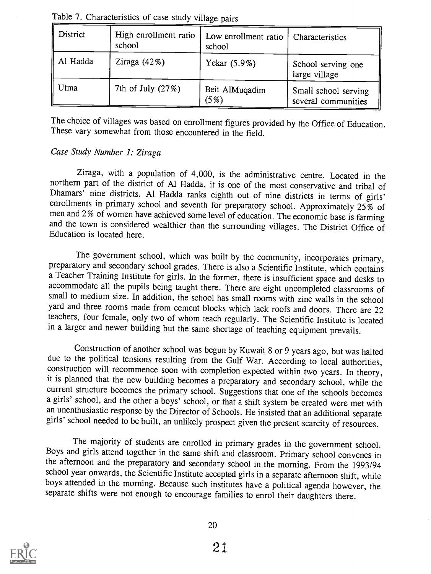| $\parallel$ District | High enrollment ratio<br>school | Low enrollment ratio   Characteristics<br>school |                                             |
|----------------------|---------------------------------|--------------------------------------------------|---------------------------------------------|
| Al Hadda             | Ziraga $(42\%)$                 | Yekar (5.9%)                                     | School serving one<br>large village         |
| Utma                 | 7th of July (27%)               | Beit AlMuqadim<br>(5%)                           | Small school serving<br>several communities |

Table 7. Characteristics of case study village pairs

The choice of villages was based on enrollment figures provided by the Office of Education. These vary somewhat from those encountered in the field.

#### Case Study Number 1: Ziraga

Ziraga, with a population of 4,000, is the administrative centre. Located in the northern part of the district of Al Hadda, it is one of the most conservative and tribal of Dhamars' nine districts. Al Hadda ranks eighth out of nine districts in terms of girls' enrollments in primary school and seventh for preparatory school. Approximately  $25\%$  of men and 2% of women have achieved some level of education. The economic base is farming and the town is considered wealthier than the surrounding villages. The District Office of Education is located here.

The government school, which was built by the community, incorporates primary, preparatory and secondary school grades. There is also a Scientific Institute, which contains a Teacher Training Institute for girls. In the former, there is insufficient space and desks to accommodate all the pupils being taught there. There are eight uncompleted classrooms of small to medium size. In addition, the school has small rooms with zinc walls in the school yard and three rooms made from cement blocks which lack roofs and doors. There are 22 teachers, four female, only two of whom teach regularly. The Scientific Institute is located in a larger and newer building but the same shortage of teaching equipment prevails.

Construction of another school was begun by Kuwait 8 or 9 years ago, but was halted<br>due to the political tensions resulting from the Gulf War. According to local authorities,<br>construction will recommence soon with completi current structure becomes the primary school. Suggestions that one of the schools becomes a girls' school, and the other a boys' school, or that a shift system be created were met with an unenthusiastic response by the Director of Schools. He insisted that an additional separate girls' school needed to be built, an unlikely prospect given the present scarcity of resources.

The majority of students are enrolled in primary grades in the government school. Boys and girls attend together in the same shift and classroom. Primary school convenes in the afternoon and the preparatory and secondary school in the morning. From the 1993/94 school year onwards, the Scientific Institute accepted girls in a separate afternoon shift, while boys attended in the morning. Because such institutes have a political agenda however, the separate shifts were not enough to encourage families to enrol their daughters there.

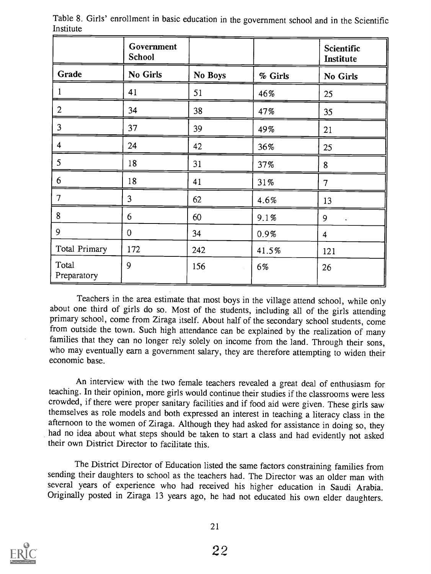|                      | Government<br><b>School</b> |         |         | Scientific<br>Institute   |
|----------------------|-----------------------------|---------|---------|---------------------------|
| Grade                | No Girls                    | No Boys | % Girls | No Girls                  |
|                      | 41                          | 51      | 46%     | 25                        |
| $\overline{2}$       | 34                          | 38      | 47%     | 35                        |
| $\overline{3}$       | 37                          | 39      | 49%     | 21                        |
| 4                    | 24                          | 42      | 36%     | 25                        |
| 5 <sup>5</sup>       | 18                          | 31      | 37%     | 8                         |
| 6                    | 18                          | 41      | 31%     | 7                         |
| $\overline{7}$       | 3                           | 62      | 4.6%    | 13                        |
| 8                    | 6                           | 60      | 9.1%    | 9<br>$\ddot{\phantom{0}}$ |
| $\overline{9}$       | $\overline{0}$              | 34      | 0.9%    | 4                         |
| Total Primary        | 172                         | 242     | 41.5%   | 121                       |
| Total<br>Preparatory | 9                           | 156     | 6%      | 26                        |

Table 8. Girls' enrollment in basic education in the government school and in the Scientific Institute

Teachers in the area estimate that most boys in the village attend school, while only about one third of girls do so. Most of the students, including all of the girls attending primary school, come from Ziraga itself. About half of the secondary school students, come from outside the town. Such high attendance can be explained by the realization of many families that they can no longer rely solely on income from the land. Through their sons, who may eventually earn a government salary, they are therefore attempting to widen their economic base.

An interview with the two female teachers revealed a great deal of enthusiasm for teaching. In their opinion, more girls would continue their studies if the classrooms were less crowded, if there were proper sanitary facilities and if food aid were given. These girls saw themselves as role models and both expressed an interest in teaching a literacy class in the afternoon to the women of Ziraga. Although they had asked for assistance in doing so, they had no idea about what steps should be taken to start a class and had evidently not asked their own District Director to facilitate this.

The District Director of Education listed the same factors constraining families from sending their daughters to school as the teachers had. The Director was an older man with several years of experience who had received his higher education in Saudi Arabia. Originally posted in Ziraga 13 years ago, he had not educated his own elder daughters.

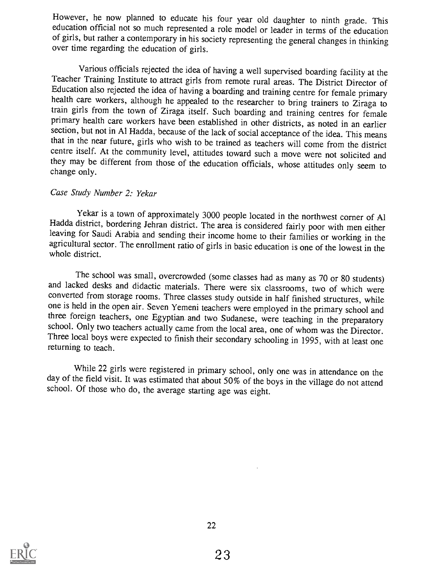However, he now planned to educate his four year old daughter to ninth grade. This education official not so much represented a role model or leader in terms of the education of girls, but rather a contemporary in his society representing the general changes in thinking over time regarding the education of girls.

Various officials rejected the idea of having a well supervised boarding facility at the Teacher Training Institute to attract girls from remote rural areas. The District Director of Education also rejected the idea of hav health care workers, although he appealed to the researcher to bring trainers to Ziraga to train girls from the town of Ziraga itself. Such boarding and training centres for female primary health care workers have been established in other districts, as noted in an earlier section, but not in Al Hadda, because of the lack of social acceptance of the idea. This means that in the near future, girls who wish to be trained as teachers will come from the district centre itself. At the community level, attitudes toward such a move were not solicited and they may be different from those of the education officials, whose attitudes only seem to change only.

#### Case Study Number 2: Yekar

Yekar is a town of approximately 3000 people located in the northwest corner of Al Hadda district, bordering Jehran district. The area is considered fairly poor with men either leaving for Saudi Arabia and sending their income home to their families or working in the agricultural sector. The enrollment ratio of girls in basic education is one of the lowest in the whole district.

The school was small, overcrowded (some classes had as many as 70 or 80 students) and lacked desks and didactic materials. There were six classrooms, two of which were converted from storage rooms. Three classes study outs one is held in the open air. Seven Yemeni teachers were employed in the primary school and three foreign teachers, one Egyptian and two Sudanese, were teaching in the preparatory school. Only two teachers actually came from the local area, one of whom was the Director. Three local boys were expected to finish their secondary schooling in 1995, with at least one returning to teach.

While 22 girls were registered in primary school, only one was in attendance on the day of the field visit. It was estimated that about 50% of the boys in the village do not attend school. Of those who do, the average starting age was eight.

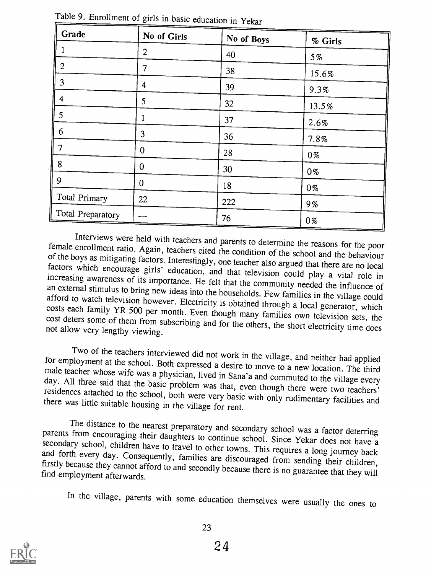| Grade             | No of Girls      | No of Boys | % Girls |
|-------------------|------------------|------------|---------|
|                   | 2                | 40         | 5%      |
| $\overline{c}$    | 7                | 38         | 15.6%   |
| 3                 | 4                | 39         | 9.3%    |
| 4                 | 5                | 32         | 13.5%   |
| 5                 | 1                | 37         | 2.6%    |
| 6                 | 3                | 36         | 7.8%    |
|                   | $\boldsymbol{0}$ | 28         | $0\%$   |
| 8                 | $\overline{0}$   | 30         | $0\%$   |
| 9                 | $\theta$         | 18         | 0%      |
| Total Primary     | 22               | 222        | 9%      |
| Total Preparatory |                  | 76         | 0%      |

Table 9. Enrollment of girls in basic education in Yekar

Interviews were held with teachers and parents to determine the reasons for the poor female enrollment ratio. Again, teachers cited the condition of the school and the behaviour of the boys as mitigating factors. Interestingly, one teacher also argued that there are no local factors which encourage girls' education, and that television could play a vital role in increasing awareness of its importa costs each family YR 500 per month. Even though many families own television sets, the cost deters some of them from subscribing and for the others, the short electricity time does not allow very lengthy viewing.

Two of the teachers interviewed did not work in the village, and neither had applied<br>for employment at the school. Both expressed a desire to move to a new location. The third<br>male teacher whose wife was a physician, lived

The distance to the nearest preparatory and secondary school was a factor deterring<br>parents from encouraging their daughters to continue school. Since Yekar does not have a<br>secondary school, children have to travel to othe

In the village, parents with some education themselves were usually the ones to

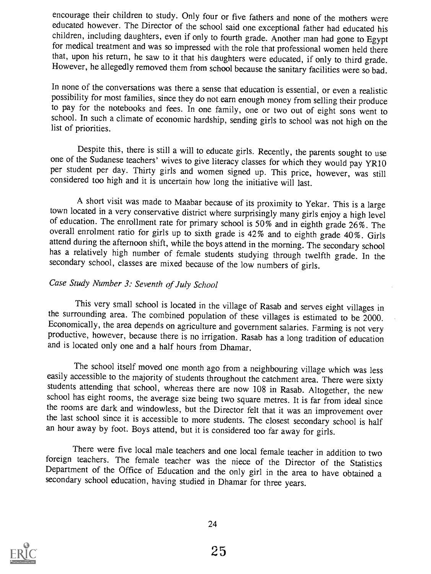encourage their children to study. Only four or five fathers and none of the mothers were educated however. The Director of the school said one exceptional father had educated his children, including daughters, even if only to fourth grade. Another man had gone to Egypt<br>for medical treatment and was so impressed with the role that professional women held there<br>that, upon his return, he saw to it tha However, he allegedly removed them from school because the sanitary facilities were so bad.

In none of the conversations was there a sense that education is essential, or even a realistic possibility for most families, since they do not earn enough money from selling their produce to pay for the notebooks and fees. In one family, one or two out of eight sons went to school. In such a climate of economic hardship, sending girls to school was not high on the list of priorities.

Despite this, there is still a will to educate girls. Recently, the parents sought to use one of the Sudanese teachers' wives to give literacy classes for which they would pay YR10 per student per day. Thirty girls and women signed up. This price, however, was still considered too high and it is uncertain how long the initiative will last.

A short visit was made to Maabar because of its proximity to Yekar. This is a large town located in a very conservative district where surprisingly many girls enjoy a high level of education. The enrollment rate for primary school is 50% and in eighth grade 26%. The overall enrolment ratio for girls up to sixth grade is 42% and to eighth grade 40%. Girls attend during the afternoon shift, while the boys attend in the morning. The secondary school has a relatively high number of female students studying through twelfth grade. In the secondary school, classes are mixed because of the low numbers of girls.

#### Case Study Number 3: Seventh of July School

This very small school is located in the village of Rasab and serves eight villages in the surrounding area. The combined population of these villages is estimated to be 2000. Economically, the area depends on agriculture and government salaries. Farming is not very productive, however, because there is no irrigation. Rasab has a long tradition of education and is located only one and a half hours from Dhamar.

The school itself moved one month ago from a neighbouring village which was less easily accessible to the majority of students throughout the catchment area. There were sixty students attending that school, whereas there are now 108 in Rasab. Altogether, the new school has eight rooms, the average size being two square metres. It is far from ideal since the rooms are dark and windowless, but the Director felt that it was an improvement over the last school since it is accessible to more students. The closest secondary school is half an hour away by foot. Boys attend, but it is considered too far away for girls.

There were five local male teachers and one local female teacher in addition to two foreign teachers. The female teacher was the niece of the Director of the Statistics Department of the Office of Education and the only girl in the area to have obtained <sup>a</sup> secondary school education, having studied in Dhamar for three years.

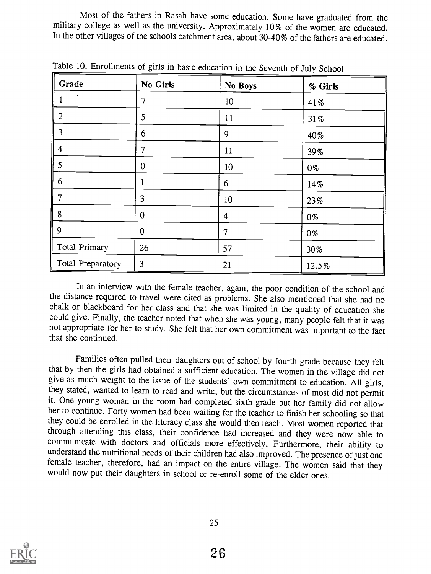Most of the fathers in Rasab have some education. Some have graduated from the military college as well as the university. Approximately 10% of the women are educated. In the other villages of the schools catchment area, about 30-40% of the fathers are educated.

| Grade             | No Girls       | No Boys | % Girls |
|-------------------|----------------|---------|---------|
| $\bullet$         | 7              | 10      | 41%     |
| 2                 | 5              | 11      | 31%     |
| 3                 | 6              | 9       | 40%     |
| 4                 | 7              | 11      | 39%     |
| 5                 | $\overline{0}$ | 10      | 0%      |
| 6                 |                | 6       | 14%     |
| 7                 | 3              | 10      | 23%     |
| 8                 | 0              | 4       | 0%      |
| 9                 | $\overline{0}$ | 7       | 0%      |
| Total Primary     | 26             | 57      | 30%     |
| Total Preparatory | 3              | 21      | 12.5%   |

Table 10. Enrollments of girls in basic education in the Seventh of July School

In an interview with the female teacher, again, the poor condition of the school and the distance required to travel were cited as problems. She also mentioned that she had no chalk or blackboard for her class and that she was limited in the quality of education she could give. Finally, the teacher noted that when she was young, many people felt that it was not appropriate for her to study. She felt that her own commitment was important to the fact that she continued.

Families often pulled their daughters out of school by fourth grade because they felt<br>that by then the girls had obtained a sufficient education. The women in the village did not<br>give as much weight to the issue of the stu it. One young woman in the room had completed sixth grade but her family did not allow her to continue. Forty women had been waiting for the teacher to finish her schooling so that they could be enrolled in the literacy class she would then teach. Most women reported that through attending this class, their confidence had increased and they were now able to communicate with doctors and officials more effectively. Furthermore, their ability to understand the nutritional needs of their children had also improved. The presence of just one female teacher, therefore, had an impact on the entire village. The women said that they would now put their daughters in school or re-enroll some of the elder ones.

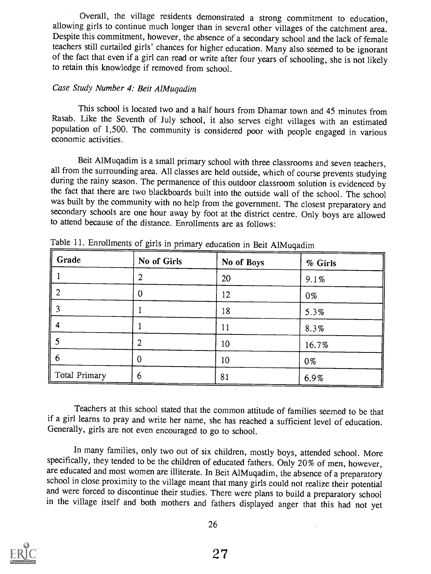Overall, the village residents demonstrated a strong commitment to education, allowing girls to continue much longer than in several other villages of the catchment area. Despite this commitment, however, the absence of a secondary school and the lack of female teachers still curtailed girls' chances for higher education. Many also seemed to be ignorant of the fact that even if a girl can read or write after four years of schooling, she is not likely to retain this knowledge if removed from school.

#### Case Study Number 4: Beit AlMugadim

This school is located two and a half hours from Dhamar town and 45 minutes from Rasab. Like the Seventh of July school, it also serves eight villages with an estimated population of 1,500. The community is considered poor with people engaged in various economic activities.

Beit AlMuqadim is a small primary school with three classrooms and seven teachers, all from the surrounding area. All classes are held outside, which of course prevents studying during the rainy season. The permanence of this outdoor classroom solution is evidenced by the fact that there are two blackboards built into the outside wall of the school. The school was built by the community with no help from the government. The closest preparatory and secondary schools are one hour away by foot at the district centre. Only boys are allowed to attend because of the distance. Enrollments are as follows:

| Grade         | No of Girls | No of Boys | % Girls |
|---------------|-------------|------------|---------|
|               |             | 20         | 9.1%    |
|               |             | 12         | 0%      |
|               |             | 18         | 5.3%    |
|               |             | 11         | 8.3%    |
|               | っ           | 10         | 16.7%   |
| b             | 0           | 10         | 0%      |
| Total Primary | 6           | 81         | 6.9%    |

Table 11. Enrollments of girls in primary education in Beit AlMuqadim

Teachers at this school stated that the common attitude of families seemed to be that if a girl learns to pray and write her name, she has reached a sufficient level of education. Generally, girls are not even encouraged to go to school.

In many families, only two out of six children, mostly boys, attended school. More specifically, they tended to be the children of educated fathers. Only 20% of men, however, are educated and most women are illiterate. In Beit AlMuqadim, the absence of a preparatory school in close proximity to the village meant that many girls could not realize their potential<br>and were forced to discontinue their studies. There were plans to build a preparatory school in the village itself and both mothers and fathers displayed anger that this had not yet

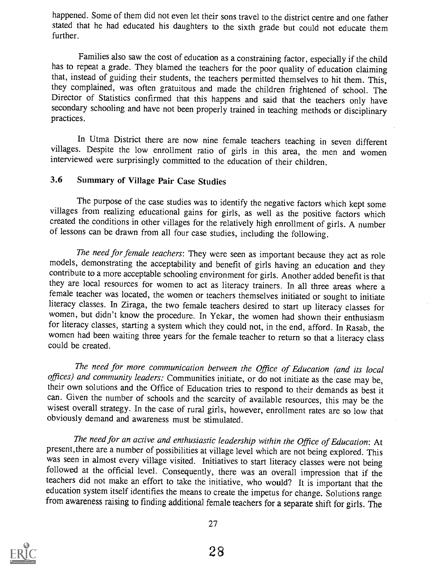happened. Some of them did not even let their sons travel to the district centre and one father stated that he had educated his daughters to the sixth grade but could not educate them further.

Families also saw the cost of education as a constraining factor, especially if the child has to repeat a grade. They blamed the teachers for the poor quality of education claiming that, instead of guiding their students, the teachers permitted themselves to hit them. This, they complained, was often gratuitous and made the children frightened of school. The Director of Statistics confirmed that this happens and said that the teachers only have secondary schooling and have not been properly trained in teaching methods or disciplinary practices.

In Utma District there are now nine female teachers teaching in seven different villages. Despite the low enrollment ratio of girls in this area, the men and women interviewed were surprisingly committed to the education of their children.

#### 3.6 Summary of Village Pair Case Studies

The purpose of the case studies was to identify the negative factors which kept some villages from realizing educational gains for girls, as well as the positive factors which created the conditions in other villages for the relatively high enrollment of girls. A number of lessons can be drawn from all four case studies, including the following.

The need for female teachers: They were seen as important because they act as role models, demonstrating the acceptability and benefit of girls having an education and they contribute to a more acceptable schooling environment for girls. Another added benefit is that they are local resources for women to act as literacy trainers. In all three areas where a female teacher was located, the women or teachers themselves initiated or sought to initiate literacy classes. In Ziraga, the two female teachers desired to start up literacy classes for women, but didn't know the procedure. In Yekar, the women had shown their enthusiasm for literacy classes, starting a system which they could not, in the end, afford. In Rasab, the women had been waiting three years for the female teacher to return so that a literacy class could be created.

The need for more communication between the Office of Education (and its local offices) and community leaders: Communities initiate, or do not initiate as the case may be, their own solutions and the Office of Education tries to respond to their demands as best it can. Given the number of schools and the scarcity of available resources, this may be the wisest overall strategy. In the case of rural girls, however, enrollment rates are so low that obviously demand and awareness must be stimulated.

The need for an active and enthusiastic leadership within the Office of Education: At present, there are a number of possibilities at village level which are not being explored. This was seen in almost every village visited. Initiatives to start literacy classes were not being followed at the official level. Consequently, there was an overall impression that if the teachers did not make an effort to take the initiative, who would? It is important that the education system itself identifies the means to create the impetus for change. Solutions range from awareness raising to finding additional female teachers for a separate shift for girls. The

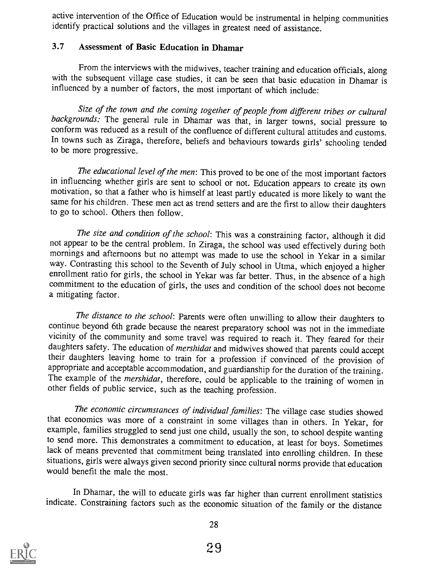active intervention of the Office of Education would be instrumental in helping communities identify practical solutions and the villages in greatest need of assistance.

#### 3.7 Assessment of Basic Education in Dhamar

From the interviews with the midwives, teacher training and education officials, along with the subsequent village case studies, it can be seen that basic education in Dhamar is influenced by a number of factors, the most important of which include:

Size of the town and the coming together of people from different tribes or cultural backgrounds: The general rule in Dhamar was that, in larger towns, social pressure to conform was reduced as a result of the confluence of different cultural attitudes and customs. In towns such as Ziraga, therefore, beliefs and behaviours towards girls' schooling tended to be more progressive.

The educational level of the men: This proved to be one of the most important factors in influencing whether girls are sent to school or not. Education appears to create its own motivation, so that a father who is himself at least partly educated is more likely to want the same for his children. These men act as trend setters and are the first to allow their daughters to go to school. Others then follow.

The size and condition of the school: This was a constraining factor, although it did not appear to be the central problem. In Ziraga, the school was used effectively during both mornings and afternoons but no attempt was made to use the school in Yekar in a similar way. Contrasting this school to the Seventh of July school in Utma, which enjoyed a higher enrollment ratio for girls, the school in Yekar was far better. Thus, in the absence of a high commitment to the education of girls, the uses and condition of the school does not become a mitigating factor.

The distance to the school: Parents were often unwilling to allow their daughters to continue beyond 6th grade because the nearest preparatory school was not in the immediate vicinity of the community and some travel was required to reach it. They feared for their daughters safety. The education of *mershidat* and midwives showed that parents could accept their daughters leaving home to train for a profession if convinced of the provision of appropriate and acceptable accommodation, and guardianship for the duration of the training. The example of the *mershidat*, therefore, could be applicable to the training of women in other fields of public service, such as the teaching profession.

The economic circumstances of individual families: The village case studies showed that economics was more of a constraint in some villages than in others. In Yekar, for example, families struggled to send just one child, usually the son, to school despite wanting to send more. This demonstrates a commitment to education, at least for boys. Sometimes lack of means prevented that commitment being translated into enrolling children. In these situations, girls were always given second priority since cultural norms provide that education would benefit the male the most.

In Dhamar, the will to educate girls was far higher than current enrollment statistics indicate. Constraining factors such as the economic situation of the family or the distance

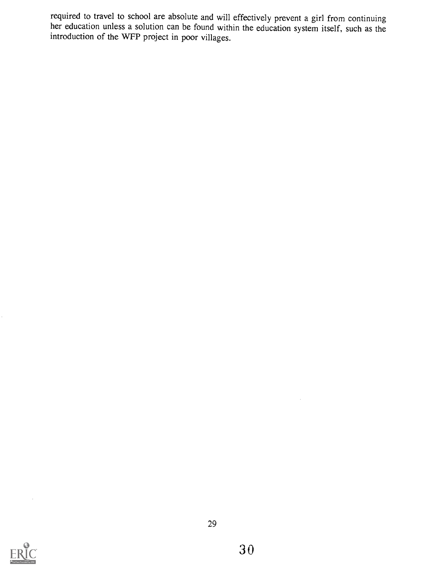required to travel to school are absolute and will effectively prevent a girl from continuing her education unless a solution can be found within the education system itself, such as the introduction of the WFP project in poor villages.



 $\ddot{\phantom{a}}$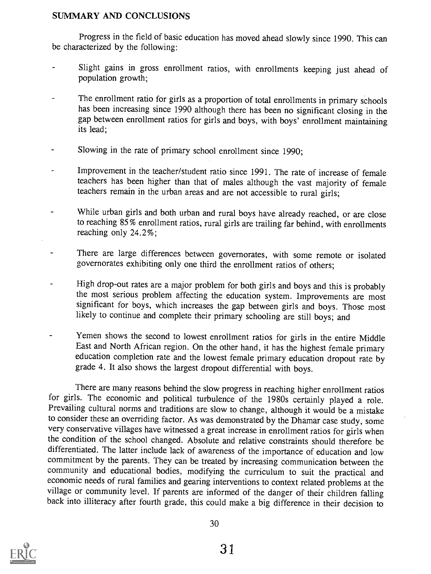#### SUMMARY AND CONCLUSIONS

Progress in the field of basic education has moved ahead slowly since 1990. This can be characterized by the following:

- Slight gains in gross enrollment ratios, with enrollments keeping just ahead of  $\blacksquare$ population growth;
- The enrollment ratio for girls as a proportion of total enrollments in primary schools has been increasing since 1990 although there has been no significant closing in the gap between enrollment ratios for girls and boys, with boys' enrollment maintaining its lead;
- Slowing in the rate of primary school enrollment since 1990;
- Improvement in the teacher/student ratio since 1991. The rate of increase of female teachers has been higher than that of males although the vast majority of female teachers remain in the urban areas and are not accessible to rural girls;
- While urban girls and both urban and rural boys have already reached, or are close  $\blacksquare$ to reaching  $85\%$  enrollment ratios, rural girls are trailing far behind, with enrollments reaching only 24.2%;
- There are large differences between governorates, with some remote or isolated governorates exhibiting only one third the enrollment ratios of others;
- High drop-out rates are a major problem for both girls and boys and this is probably the most serious problem affecting the education system. Improvements are most significant for boys, which increases the gap between girls and boys. Those most likely to continue and complete their primary schooling are still boys; and
- Yemen shows the second to lowest enrollment ratios for girls in the entire Middle  $\blacksquare$ East and North African region. On the other hand, it has the highest female primary education completion rate and the lowest female primary education dropout rate by grade 4. It also shows the largest dropout differential with boys.

There are many reasons behind the slow progress in reaching higher enrollment ratios for girls. The economic and political turbulence of the 1980s certainly played a role. Frevailing cultural norms and traditions are slow to change, although it would be a mistake to consider these an overriding factor. As was demonstrated by the Dhamar case study, some very conservative villages have witnessed a great increase in enrollment ratios for girls when the condition of the school changed. Absolute and relative constraints should therefore be differentiated. The latter include lack of awareness of the importance of education and low commitment by the parents. They can be treated by increasing communication between the community and educational bodies, modifying the curriculum to suit the practical and economic needs of rural families and gearing interventions to context related problems at the village or community level. If parents are informed of the danger of their children falling back into illiteracy after fourth grade, this could make a big difference in their decision to

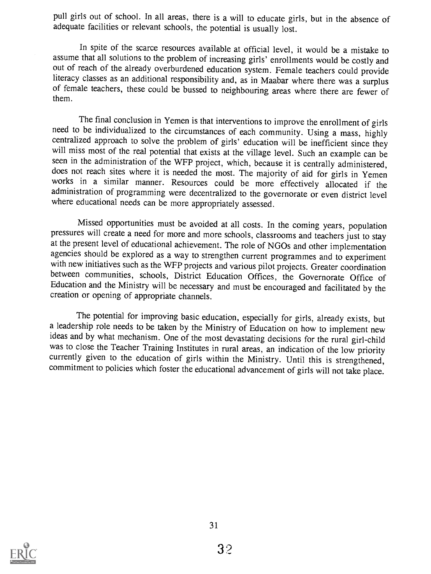pull girls out of school. In all areas, there is a will to educate girls, but in the absence of adequate facilities or relevant schools, the potential is usually lost.

In spite of the scarce resources available at official level, it would be a mistake to assume that all solutions to the problem of increasing girls' enrollments would be costly and out of reach of the already overburdened education system. Female teachers could provide literacy classes as an additional responsibility and, as in Maabar where there was a surplus of female teachers, these could be bussed to neighbouring areas where there are fewer of them.

The final conclusion in Yemen is that interventions to improve the enrollment of girls need to be individualized to the circumstances of each community. Using a mass, highly centralized approach to solve the problem of gir will miss most of the real potential that exists at the village level. Such an example can be seen in the administration of the WFP project, which, because it is centrally administered, does not reach sites where it is needed the most. The majority of aid for girls in Yemen<br>works in a similar manner. Resources could be more effectively allocated if the administration of programming were decentralized to the governorate or even district level where educational needs can be more appropriately assessed.

Missed opportunities must be avoided at all costs. In the coming years, population pressures will create a need for more and more schools, classrooms and teachers just to stay at the present level of educational achievement. The role of NGOs and other implementation agencies should be explored as a way to strengthen current programmes and to experiment with new initiatives such as the WFP projects and various pilot projects. Greater coordination<br>between communities, schools, District Education Offices, the Governorate Office of Education and the Ministry will be necessary and must be encouraged and facilitated by the creation or opening of appropriate channels.

The potential for improving basic education, especially for girls, already exists, but a leadership role needs to be taken by the Ministry of Education on how to implement new ideas and by what mechanism. One of the most devastating decisions for the rural girl-child was to close the Teacher Training Institutes in rural areas, an indication of the low priority currently given to the education of girls within the Ministry. Until this is strengthened, commitment to policies which foster the educational advancement of girls will not take place.

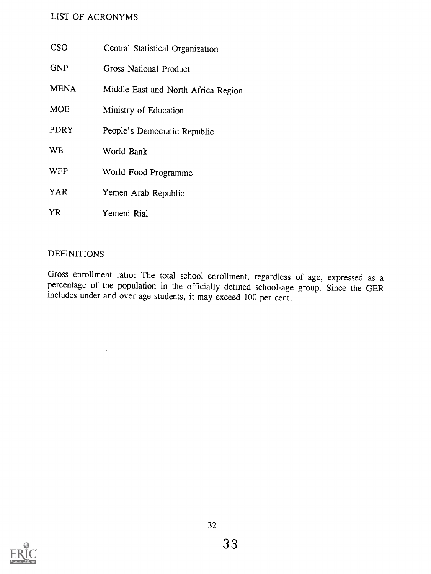#### LIST OF ACRONYMS

| <b>CSO</b>  | Central Statistical Organization    |  |  |
|-------------|-------------------------------------|--|--|
| <b>GNP</b>  | <b>Gross National Product</b>       |  |  |
| <b>MENA</b> | Middle East and North Africa Region |  |  |
| <b>MOE</b>  | Ministry of Education               |  |  |
| <b>PDRY</b> | People's Democratic Republic        |  |  |
| <b>WB</b>   | World Bank                          |  |  |
| <b>WFP</b>  | World Food Programme                |  |  |
| YAR         | Yemen Arab Republic                 |  |  |
| YR          | Yemeni Rial                         |  |  |

#### DEFINITIONS

 $\mathcal{L}$ 

Gross enrollment ratio: The total school enrollment, regardless of age, expressed as a percentage of the population in the officially defined school-age group. Since the GER includes under and over age students, it may exceed 100 per cent.

 $\sim 10$ 

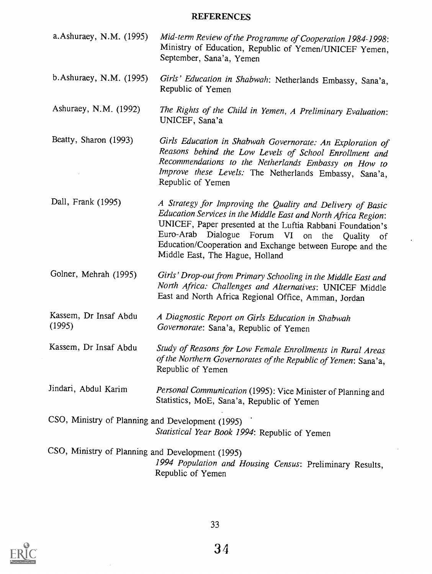## REFERENCES

| a. Ashuraey, N.M. (1995)                                                                                                          | Mid-term Review of the Programme of Cooperation 1984-1998:<br>Ministry of Education, Republic of Yemen/UNICEF Yemen,<br>September, Sana'a, Yemen                                                                                                                                                                                                     |  |  |  |  |
|-----------------------------------------------------------------------------------------------------------------------------------|------------------------------------------------------------------------------------------------------------------------------------------------------------------------------------------------------------------------------------------------------------------------------------------------------------------------------------------------------|--|--|--|--|
| b. Ashuraey, N.M. (1995)                                                                                                          | Girls' Education in Shabwah: Netherlands Embassy, Sana'a,<br>Republic of Yemen                                                                                                                                                                                                                                                                       |  |  |  |  |
| Ashuraey, N.M. (1992)                                                                                                             | The Rights of the Child in Yemen, A Preliminary Evaluation:<br>UNICEF, Sana'a                                                                                                                                                                                                                                                                        |  |  |  |  |
| Beatty, Sharon (1993)                                                                                                             | Girls Education in Shabwah Governorate: An Exploration of<br>Reasons behind the Low Levels of School Enrollment and<br>Recommendations to the Netherlands Embassy on How to<br>Improve these Levels: The Netherlands Embassy, Sana'a,<br>Republic of Yemen                                                                                           |  |  |  |  |
| Dall, Frank (1995)                                                                                                                | A Strategy for Improving the Quality and Delivery of Basic<br>Education Services in the Middle East and North Africa Region:<br>UNICEF, Paper presented at the Luftia Rabbani Foundation's<br>Euro-Arab<br>Dialogue<br>Forum VI<br>on the Quality of<br>Education/Cooperation and Exchange between Europe and the<br>Middle East, The Hague, Holland |  |  |  |  |
| Golner, Mehrah (1995)                                                                                                             | Girls' Drop-out from Primary Schooling in the Middle East and<br>North Africa: Challenges and Alternatives: UNICEF Middle<br>East and North Africa Regional Office, Amman, Jordan                                                                                                                                                                    |  |  |  |  |
| Kassem, Dr Insaf Abdu<br>(1995)                                                                                                   | A Diagnostic Report on Girls Education in Shabwah<br>Governorate: Sana'a, Republic of Yemen                                                                                                                                                                                                                                                          |  |  |  |  |
| Kassem, Dr Insaf Abdu                                                                                                             | Study of Reasons for Low Female Enrollments in Rural Areas<br>of the Northern Governorates of the Republic of Yemen: Sana'a,<br>Republic of Yemen                                                                                                                                                                                                    |  |  |  |  |
| Jindari, Abdul Karim                                                                                                              | Personal Communication (1995): Vice Minister of Planning and<br>Statistics, MoE, Sana'a, Republic of Yemen                                                                                                                                                                                                                                           |  |  |  |  |
| CSO, Ministry of Planning and Development (1995)<br>Statistical Year Book 1994: Republic of Yemen                                 |                                                                                                                                                                                                                                                                                                                                                      |  |  |  |  |
| CSO, Ministry of Planning and Development (1995)<br>1994 Population and Housing Census: Preliminary Results,<br>Republic of Yemen |                                                                                                                                                                                                                                                                                                                                                      |  |  |  |  |



 $\hat{\mathcal{A}}$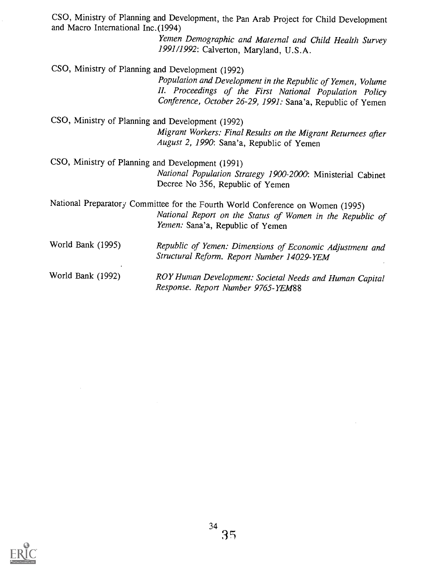| CSO, Ministry of Planning and Development, the Pan Arab Project for Child Development<br>and Macro International Inc. (1994) |                                                                                                                                                                                      |  |  |  |  |  |  |
|------------------------------------------------------------------------------------------------------------------------------|--------------------------------------------------------------------------------------------------------------------------------------------------------------------------------------|--|--|--|--|--|--|
|                                                                                                                              | Yemen Demographic and Maternal and Child Health Survey<br>1991/1992: Calverton, Maryland, U.S.A.                                                                                     |  |  |  |  |  |  |
|                                                                                                                              | CSO, Ministry of Planning and Development (1992)                                                                                                                                     |  |  |  |  |  |  |
|                                                                                                                              | Population and Development in the Republic of Yemen, Volume<br>II. Proceedings of the First National Population Policy<br>Conference, October 26-29, 1991: Sana'a, Republic of Yemen |  |  |  |  |  |  |
| CSO, Ministry of Planning and Development (1992)                                                                             |                                                                                                                                                                                      |  |  |  |  |  |  |
|                                                                                                                              | Migrant Workers: Final Results on the Migrant Returnees after<br>August 2, 1990: Sana'a, Republic of Yemen                                                                           |  |  |  |  |  |  |
| CSO, Ministry of Planning and Development (1991)                                                                             |                                                                                                                                                                                      |  |  |  |  |  |  |
|                                                                                                                              | National Population Strategy 1900-2000: Ministerial Cabinet<br>Decree No 356, Republic of Yemen                                                                                      |  |  |  |  |  |  |
|                                                                                                                              | National Preparatory Committee for the Fourth World Conference on Women (1995)                                                                                                       |  |  |  |  |  |  |
|                                                                                                                              | National Report on the Status of Women in the Republic of<br>Yemen: Sana'a, Republic of Yemen                                                                                        |  |  |  |  |  |  |
| World Bank (1995)                                                                                                            | Republic of Yemen: Dimensions of Economic Adjustment and<br>Structural Reform. Report Number 14029-YEM                                                                               |  |  |  |  |  |  |
| World Bank (1992)                                                                                                            | ROY Human Development: Societal Needs and Human Capital<br>Response. Report Number 9765-YEM88                                                                                        |  |  |  |  |  |  |



 $\frac{1}{\sqrt{2}}$ 

 $\label{eq:2} \frac{1}{\sqrt{2}}\left(\frac{1}{\sqrt{2}}\right)^{2} \left(\frac{1}{\sqrt{2}}\right)^{2} \left(\frac{1}{\sqrt{2}}\right)^{2}$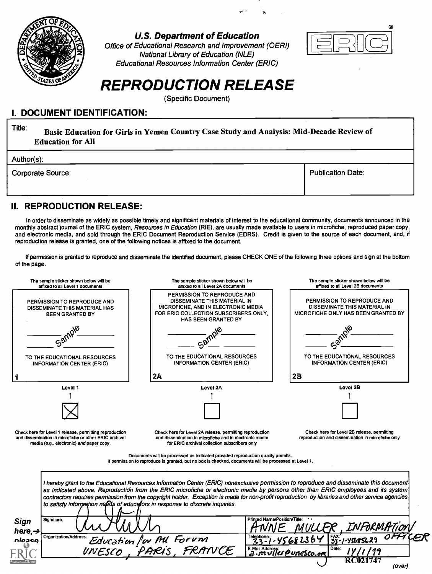

#### U.S. Department of Education

Office of Educational Research and Improvement (OERI) National Library of Education (NLE) Educational Resources Information Center (ERIC)



## REPRODUCTION RELEASE

(Specific Document)

#### I. DOCUMENT IDENTIFICATION:

Title: Basic Education for Girls in Yemen Country Case Study and Analysis: Mid-Decade Review of Education for All

Author(s):

Corporate Source: Publication Date: Publication Date:

#### II. REPRODUCTION RELEASE:

In order to disseminate as widely as possible timely and significant materials of interest to the educational community, documents announced in the monthly abstract journal of the ERIC system, Resources in Education (RIE), are usually made available to users in microfiche, reproduced paper copy, and electronic media, and sold through the ERIC Document Reproduction Service (EDRS). Credit is given to the source of each document, and, if reproduction release is granted, one of the following notices is affixed to the document.

If permission is granted to reproduce and disseminate the identified document, please CHECK ONE of the following three options and sign at the bottom of the page.

| The sample sticker shown below will be<br>affixed to all Level 1 documents                                                                                    | The sample sticker shown below will be<br>affixed to all Level 2A documents                                                                                                                                                                                                                                                                                                                                                                                                                                       |                                            |         | The sample sticker shown below will be<br>affixed to all Level 2B documents                        |  |
|---------------------------------------------------------------------------------------------------------------------------------------------------------------|-------------------------------------------------------------------------------------------------------------------------------------------------------------------------------------------------------------------------------------------------------------------------------------------------------------------------------------------------------------------------------------------------------------------------------------------------------------------------------------------------------------------|--------------------------------------------|---------|----------------------------------------------------------------------------------------------------|--|
| PERMISSION TO REPRODUCE AND<br>DISSEMINATE THIS MATERIAL HAS<br><b>BEEN GRANTED BY</b>                                                                        | PERMISSION TO REPRODUCE AND<br>DISSEMINATE THIS MATERIAL IN<br>MICROFICHE, AND IN ELECTRONIC MEDIA<br>FOR ERIC COLLECTION SUBSCRIBERS ONLY.<br><b>HAS BEEN GRANTED BY</b>                                                                                                                                                                                                                                                                                                                                         |                                            |         | PERMISSION TO REPRODUCE AND<br>DISSEMINATE THIS MATERIAL IN<br>MICROFICHE ONLY HAS BEEN GRANTED BY |  |
| Sam                                                                                                                                                           |                                                                                                                                                                                                                                                                                                                                                                                                                                                                                                                   |                                            |         |                                                                                                    |  |
| TO THE EDUCATIONAL RESOURCES<br>INFORMATION CENTER (ERIC)                                                                                                     | TO THE EDUCATIONAL RESOURCES<br><b>INFORMATION CENTER (ERIC)</b>                                                                                                                                                                                                                                                                                                                                                                                                                                                  |                                            |         | TO THE EDUCATIONAL RESOURCES<br><b>INFORMATION CENTER (ERIC)</b>                                   |  |
|                                                                                                                                                               | 2A                                                                                                                                                                                                                                                                                                                                                                                                                                                                                                                |                                            | 2B      |                                                                                                    |  |
| Level 1                                                                                                                                                       | Level 2A                                                                                                                                                                                                                                                                                                                                                                                                                                                                                                          |                                            |         | Level 2B                                                                                           |  |
|                                                                                                                                                               |                                                                                                                                                                                                                                                                                                                                                                                                                                                                                                                   |                                            |         |                                                                                                    |  |
|                                                                                                                                                               |                                                                                                                                                                                                                                                                                                                                                                                                                                                                                                                   |                                            |         |                                                                                                    |  |
| Check here for Level 1 release, permitting reproduction<br>and dissemination in microfiche or other ERIC archival<br>media (e.g., electronic) and paper copy. | Check here for Level 2A release, permitting reproduction<br>and dissemination in microfiche and in electronic media<br>for ERIC archival collection subscribers only                                                                                                                                                                                                                                                                                                                                              |                                            |         | Check here for Level 2B release, permitting<br>reproduction and dissemination in microfiche only   |  |
|                                                                                                                                                               | Documents will be processed as indicated provided reproduction quality permits.<br>If permission to reproduce is granted, but no box is checked, documents will be processed at Level 1.                                                                                                                                                                                                                                                                                                                          |                                            |         |                                                                                                    |  |
|                                                                                                                                                               | I hereby grant to the Educational Resources Information Center (ERIC) nonexclusive permission to reproduce and disseminate this document<br>as indicated above. Reproduction from the ERIC microfiche or electronic media by persons other than ERIC employees and its system<br>contractors requires permission from the copyright holder. Exception is made for non-profit reproduction by libraries and other service agencies<br>to satisfy information needs of educators in response to discrete inquiries. |                                            |         |                                                                                                    |  |
| Signature:<br>Sign                                                                                                                                            |                                                                                                                                                                                                                                                                                                                                                                                                                                                                                                                   | Printed Name/Position/Title:               |         | INFORMIFTIO                                                                                        |  |
| here, $\rightarrow$<br>Organization/Address:<br>please                                                                                                        | Education /w AU Forum                                                                                                                                                                                                                                                                                                                                                                                                                                                                                             |                                            | 5682364 | 53'<br>-YSL8SL2                                                                                    |  |
| UNESCO                                                                                                                                                        |                                                                                                                                                                                                                                                                                                                                                                                                                                                                                                                   | E-Mail Address:<br>2. M VIIer @ Unesco.org |         | Date:                                                                                              |  |
|                                                                                                                                                               |                                                                                                                                                                                                                                                                                                                                                                                                                                                                                                                   |                                            |         |                                                                                                    |  |
|                                                                                                                                                               |                                                                                                                                                                                                                                                                                                                                                                                                                                                                                                                   |                                            |         | (over)                                                                                             |  |